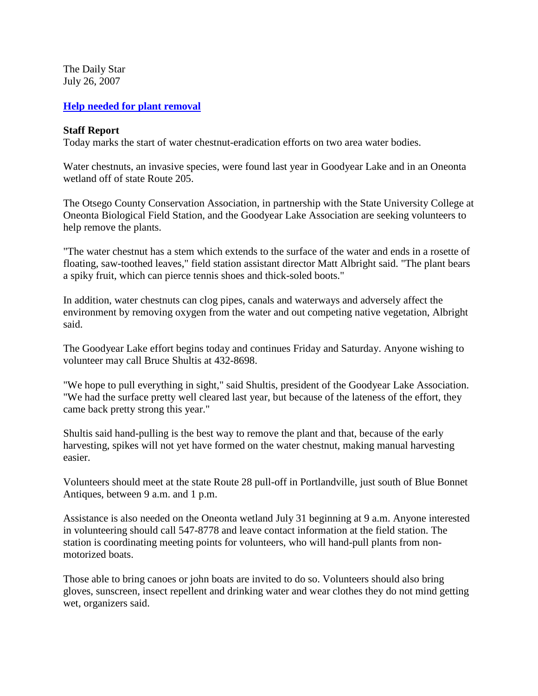The Daily Star July 26, 2007

## **[Help needed for plant removal](http://www.thedailystar.com/local/x112885587/Help-needed-for-plant-removal)**

## **Staff Report**

Today marks the start of water chestnut-eradication efforts on two area water bodies.

Water chestnuts, an invasive species, were found last year in Goodyear Lake and in an Oneonta wetland off of state Route 205.

The Otsego County Conservation Association, in partnership with the State University College at Oneonta Biological Field Station, and the Goodyear Lake Association are seeking volunteers to help remove the plants.

"The water chestnut has a stem which extends to the surface of the water and ends in a rosette of floating, saw-toothed leaves," field station assistant director Matt Albright said. "The plant bears a spiky fruit, which can pierce tennis shoes and thick-soled boots."

In addition, water chestnuts can clog pipes, canals and waterways and adversely affect the environment by removing oxygen from the water and out competing native vegetation, Albright said.

The Goodyear Lake effort begins today and continues Friday and Saturday. Anyone wishing to volunteer may call Bruce Shultis at 432-8698.

"We hope to pull everything in sight," said Shultis, president of the Goodyear Lake Association. "We had the surface pretty well cleared last year, but because of the lateness of the effort, they came back pretty strong this year."

Shultis said hand-pulling is the best way to remove the plant and that, because of the early harvesting, spikes will not yet have formed on the water chestnut, making manual harvesting easier.

Volunteers should meet at the state Route 28 pull-off in Portlandville, just south of Blue Bonnet Antiques, between 9 a.m. and 1 p.m.

Assistance is also needed on the Oneonta wetland July 31 beginning at 9 a.m. Anyone interested in volunteering should call 547-8778 and leave contact information at the field station. The station is coordinating meeting points for volunteers, who will hand-pull plants from nonmotorized boats.

Those able to bring canoes or john boats are invited to do so. Volunteers should also bring gloves, sunscreen, insect repellent and drinking water and wear clothes they do not mind getting wet, organizers said.